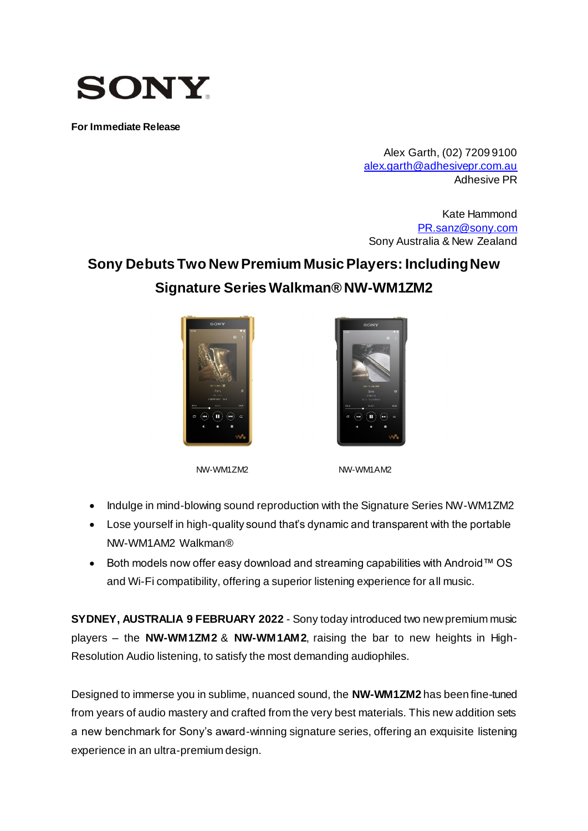

**For Immediate Release**

Alex Garth, (02) 7209 9100 [alex.garth@adhesivepr.com.au](mailto:alex.garth@adhesivepr.com.au) Adhesive PR

Kate Hammond [PR.sanz@sony.com](mailto:PR.sanz@sony.com) Sony Australia & New Zealand

# **Sony Debuts Two New Premium Music Players: Including New Signature Series Walkman® NW-WM1ZM2**





NW-WM1ZM2 NW-WM1AM2

- Indulge in mind-blowing sound reproduction with the Signature Series NW-WM1ZM2
- Lose yourself in high-quality sound that's dynamic and transparent with the portable NW-WM1AM2 Walkman®
- Both models now offer easy download and streaming capabilities with Android™ OS and Wi-Fi compatibility, offering a superior listening experience for all music.

**SYDNEY, AUSTRALIA 9 FEBRUARY 2022** - Sony today introduced two new premium music players – the **NW-WM1ZM2** & **NW-WM1AM2**, raising the bar to new heights in High-Resolution Audio listening, to satisfy the most demanding audiophiles.

Designed to immerse you in sublime, nuanced sound, the **NW-WM1ZM2** has been fine-tuned from years of audio mastery and crafted from the very best materials. This new addition sets a new benchmark for Sony's award-winning signature series, offering an exquisite listening experience in an ultra-premium design.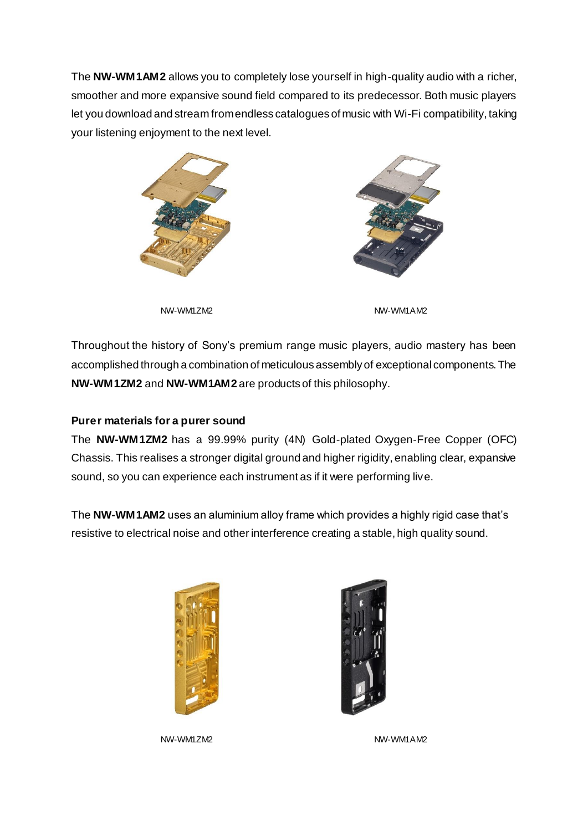The **NW-WM1AM2** allows you to completely lose yourself in high-quality audio with a richer, smoother and more expansive sound field compared to its predecessor. Both music players let you download and stream from endless catalogues of music with Wi-Fi compatibility, taking your listening enjoyment to the next level.





NW-WM1ZM2 NW-WM1AM2

Throughout the history of Sony's premium range music players, audio mastery has been accomplished through a combination of meticulous assembly of exceptional components. The **NW-WM1ZM2** and **NW-WM1AM2** are products of this philosophy.

## **Purer materials for a purer sound**

The **NW-WM1ZM2** has a 99.99% purity (4N) Gold-plated Oxygen-Free Copper (OFC) Chassis. This realises a stronger digital ground and higher rigidity, enabling clear, expansive sound, so you can experience each instrument as if it were performing live.

The **NW-WM1AM2** uses an aluminium alloy frame which provides a highly rigid case that's resistive to electrical noise and other interference creating a stable, high quality sound.



NW-WM1ZM2 NW-WM1AM2

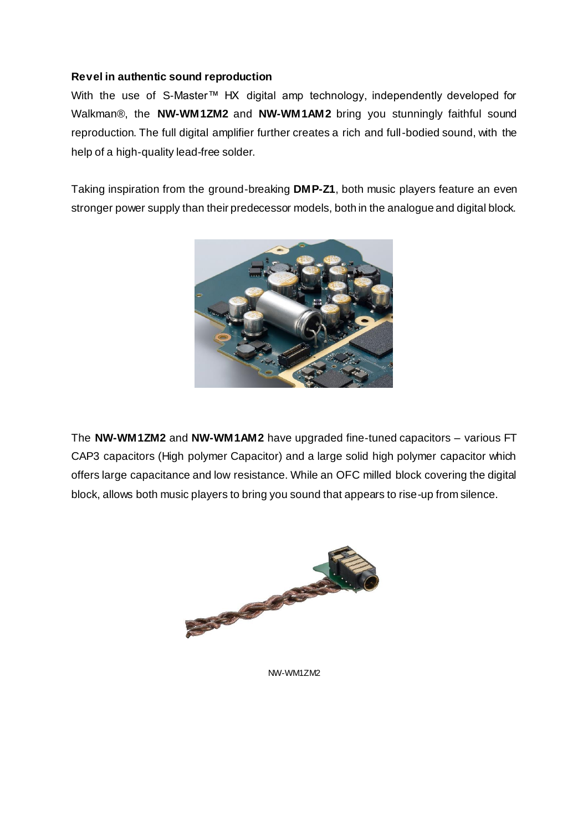## **Revel in authentic sound reproduction**

With the use of S-Master™ HX digital amp technology, independently developed for Walkman®, the **NW-WM1ZM2** and **NW-WM1AM2** bring you stunningly faithful sound reproduction. The full digital amplifier further creates a rich and full-bodied sound, with the help of a high-quality lead-free solder.

Taking inspiration from the ground-breaking **DMP-Z1**, both music players feature an even stronger power supply than their predecessor models, both in the analogue and digital block.



The **NW-WM1ZM2** and **NW-WM1AM2** have upgraded fine-tuned capacitors – various FT CAP3 capacitors (High polymer Capacitor) and a large solid high polymer capacitor which offers large capacitance and low resistance. While an OFC milled block covering the digital block, allows both music players to bring you sound that appears to rise-up from silence.



NW-WM1ZM2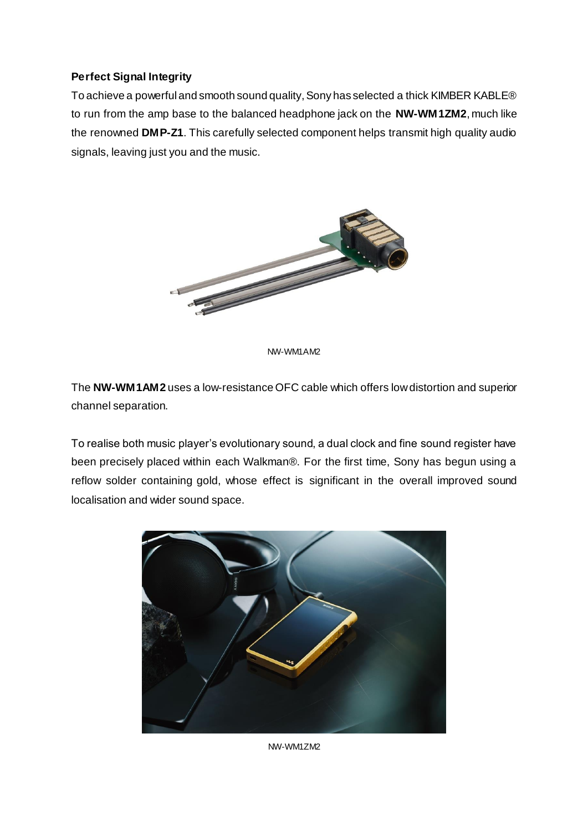## **Perfect Signal Integrity**

To achieve a powerful and smooth sound quality, Sony has selected a thick KIMBER KABLE® to run from the amp base to the balanced headphone jack on the **NW-WM1ZM2**, much like the renowned **DMP-Z1**. This carefully selected component helps transmit high quality audio signals, leaving just you and the music.



NW-WM1AM2

The **NW-WM1AM2** uses a low-resistance OFC cable which offers low distortion and superior channel separation.

To realise both music player's evolutionary sound, a dual clock and fine sound register have been precisely placed within each Walkman®. For the first time, Sony has begun using a reflow solder containing gold, whose effect is significant in the overall improved sound localisation and wider sound space.



NW-WM1ZM2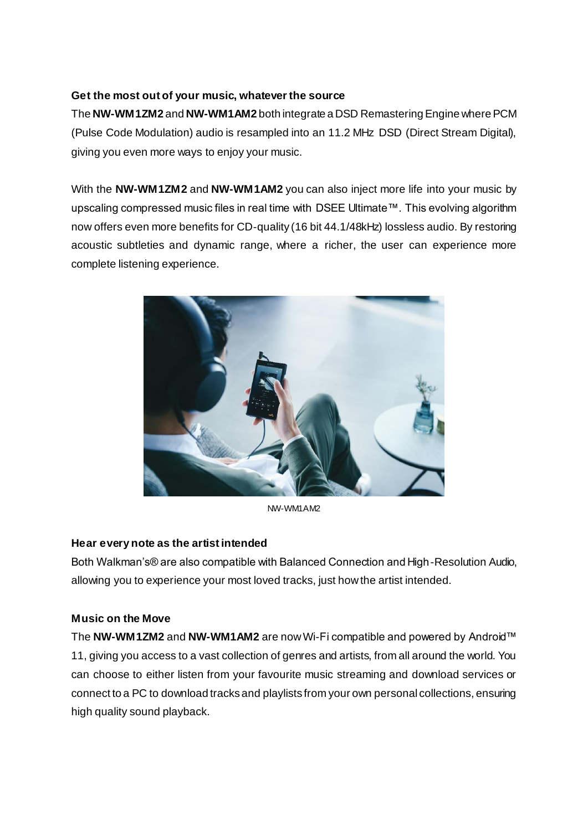## **Get the most out of your music, whatever the source**

The **NW-WM1ZM2** and **NW-WM1AM2** both integrate a DSD Remastering Engine where PCM (Pulse Code Modulation) audio is resampled into an 11.2 MHz DSD (Direct Stream Digital), giving you even more ways to enjoy your music.

With the **NW-WM1ZM2** and **NW-WM1AM2** you can also inject more life into your music by upscaling compressed music files in real time with DSEE Ultimate™. This evolving algorithm now offers even more benefits for CD-quality (16 bit 44.1/48kHz) lossless audio. By restoring acoustic subtleties and dynamic range, where a richer, the user can experience more complete listening experience.



NW-WM1AM2

#### **Hear every note as the artist intended**

Both Walkman's® are also compatible with Balanced Connection and High-Resolution Audio, allowing you to experience your most loved tracks, just how the artist intended.

## **Music on the Move**

The **NW-WM1ZM2** and **NW-WM1AM2** are now Wi-Fi compatible and powered by Android™ 11, giving you access to a vast collection of genres and artists, from all around the world. You can choose to either listen from your favourite music streaming and download services or connect to a PC to download tracks and playlists from your own personal collections, ensuring high quality sound playback.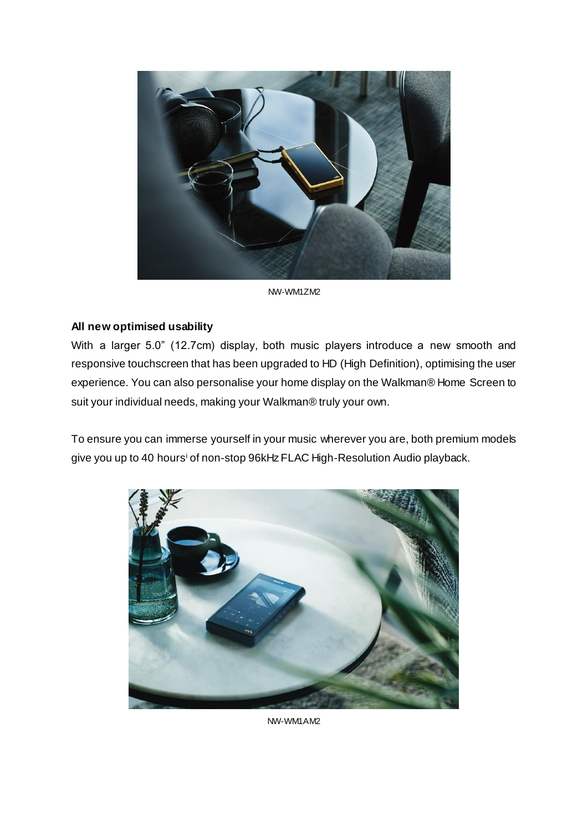

NW-WM1ZM2

### **All new optimised usability**

With a larger 5.0" (12.7cm) display, both music players introduce a new smooth and responsive touchscreen that has been upgraded to HD (High Definition), optimising the user experience. You can also personalise your home display on the Walkman® Home Screen to suit your individual needs, making your Walkman® truly your own.

To ensure you can immerse yourself in your music wherever you are, both premium models give you up to 40 hoursi of non-stop 96kHz FLAC High-Resolution Audio playback.



NW-WM1AM2